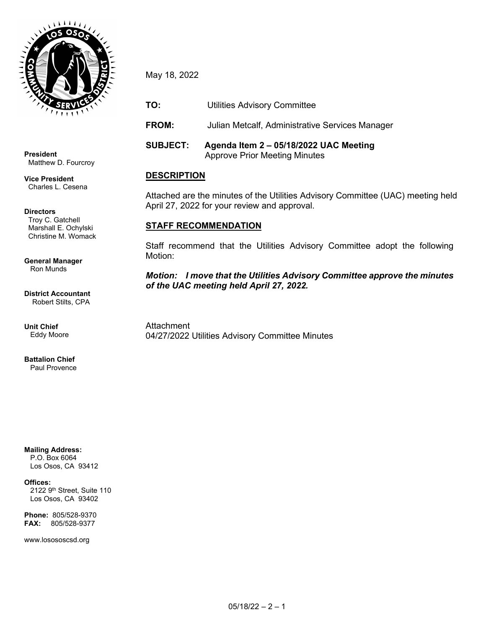

**President** Matthew D. Fourcroy

**Vice President** Charles L. Cesena

#### **Directors**

Troy C. Gatchell Marshall E. Ochylski Christine M. Womack

#### **General Manager** Ron Munds

**District Accountant** Robert Stilts, CPA

**Unit Chief** Eddy Moore

**Battalion Chief** Paul Provence

# **Mailing Address:**

 P.O. Box 6064 Los Osos, CA 93412

#### **Offices:**

2122 9<sup>th</sup> Street, Suite 110 Los Osos, CA 93402

**Phone:** 805/528-9370 **FAX:** 805/528-9377

www.losososcsd.org

May 18, 2022

**TO:** Utilities Advisory Committee

**FROM:** Julian Metcalf, Administrative Services Manager

**SUBJECT: Agenda Item 2 – 05/18/2022 UAC Meeting**  Approve Prior Meeting Minutes

## **DESCRIPTION**

Attached are the minutes of the Utilities Advisory Committee (UAC) meeting held April 27, 2022 for your review and approval.

## **STAFF RECOMMENDATION**

Staff recommend that the Utilities Advisory Committee adopt the following Motion:

## *Motion: I move that the Utilities Advisory Committee approve the minutes of the UAC meeting held April 27, 2022.*

**Attachment** 04/27/2022 Utilities Advisory Committee Minutes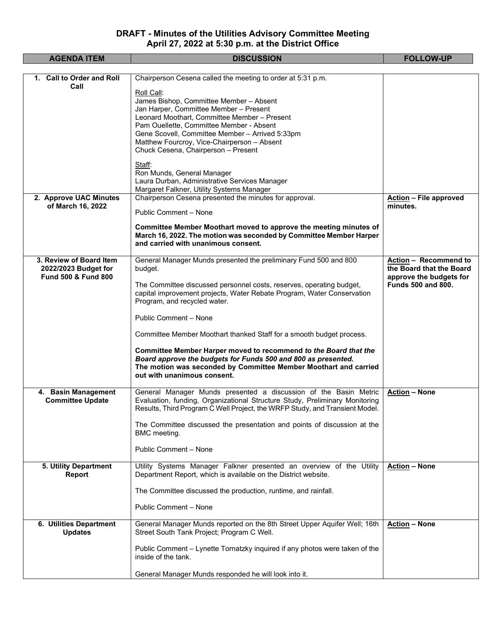## **DRAFT - Minutes of the Utilities Advisory Committee Meeting April 27, 2022 at 5:30 p.m. at the District Office**

| <b>AGENDA ITEM</b>                                                                | <b>DISCUSSION</b>                                                                                                                                                                                                                                                                                                                                                                                                                                                                                                                                                                                      | <b>FOLLOW-UP</b>                                                                                          |
|-----------------------------------------------------------------------------------|--------------------------------------------------------------------------------------------------------------------------------------------------------------------------------------------------------------------------------------------------------------------------------------------------------------------------------------------------------------------------------------------------------------------------------------------------------------------------------------------------------------------------------------------------------------------------------------------------------|-----------------------------------------------------------------------------------------------------------|
| 1. Call to Order and Roll                                                         | Chairperson Cesena called the meeting to order at 5:31 p.m.                                                                                                                                                                                                                                                                                                                                                                                                                                                                                                                                            |                                                                                                           |
| Call<br>2. Approve UAC Minutes                                                    | Roll Call:<br>James Bishop, Committee Member - Absent<br>Jan Harper, Committee Member - Present<br>Leonard Moothart, Committee Member - Present<br>Pam Ouellette, Committee Member - Absent<br>Gene Scovell, Committee Member - Arrived 5:33pm<br>Matthew Fourcroy, Vice-Chairperson - Absent<br>Chuck Cesena, Chairperson - Present<br>Staff:<br>Ron Munds, General Manager<br>Laura Durban, Administrative Services Manager<br>Margaret Falkner, Utility Systems Manager<br>Chairperson Cesena presented the minutes for approval.                                                                   | <b>Action - File approved</b>                                                                             |
| of March 16, 2022                                                                 | Public Comment - None<br>Committee Member Moothart moved to approve the meeting minutes of<br>March 16, 2022. The motion was seconded by Committee Member Harper<br>and carried with unanimous consent.                                                                                                                                                                                                                                                                                                                                                                                                | minutes.                                                                                                  |
| 3. Review of Board Item<br>2022/2023 Budget for<br><b>Fund 500 &amp; Fund 800</b> | General Manager Munds presented the preliminary Fund 500 and 800<br>budget.<br>The Committee discussed personnel costs, reserves, operating budget,<br>capital improvement projects, Water Rebate Program, Water Conservation<br>Program, and recycled water.<br>Public Comment - None<br>Committee Member Moothart thanked Staff for a smooth budget process.<br>Committee Member Harper moved to recommend to the Board that the<br>Board approve the budgets for Funds 500 and 800 as presented.<br>The motion was seconded by Committee Member Moothart and carried<br>out with unanimous consent. | Action - Recommend to<br>the Board that the Board<br>approve the budgets for<br><b>Funds 500 and 800.</b> |
| 4. Basin Management<br><b>Committee Update</b>                                    | General Manager Munds presented a discussion of the Basin Metric<br>Evaluation, funding, Organizational Structure Study, Preliminary Monitoring<br>Results, Third Program C Well Project, the WRFP Study, and Transient Model.<br>The Committee discussed the presentation and points of discussion at the<br>BMC meeting.<br>Public Comment - None                                                                                                                                                                                                                                                    | <b>Action - None</b>                                                                                      |
| 5. Utility Department<br>Report                                                   | Utility Systems Manager Falkner presented an overview of the Utility<br>Department Report, which is available on the District website.<br>The Committee discussed the production, runtime, and rainfall.<br>Public Comment - None                                                                                                                                                                                                                                                                                                                                                                      | <b>Action - None</b>                                                                                      |
| 6. Utilities Department<br><b>Updates</b>                                         | General Manager Munds reported on the 8th Street Upper Aquifer Well; 16th<br>Street South Tank Project; Program C Well.<br>Public Comment – Lynette Tornatzky inquired if any photos were taken of the<br>inside of the tank.<br>General Manager Munds responded he will look into it.                                                                                                                                                                                                                                                                                                                 | <b>Action - None</b>                                                                                      |